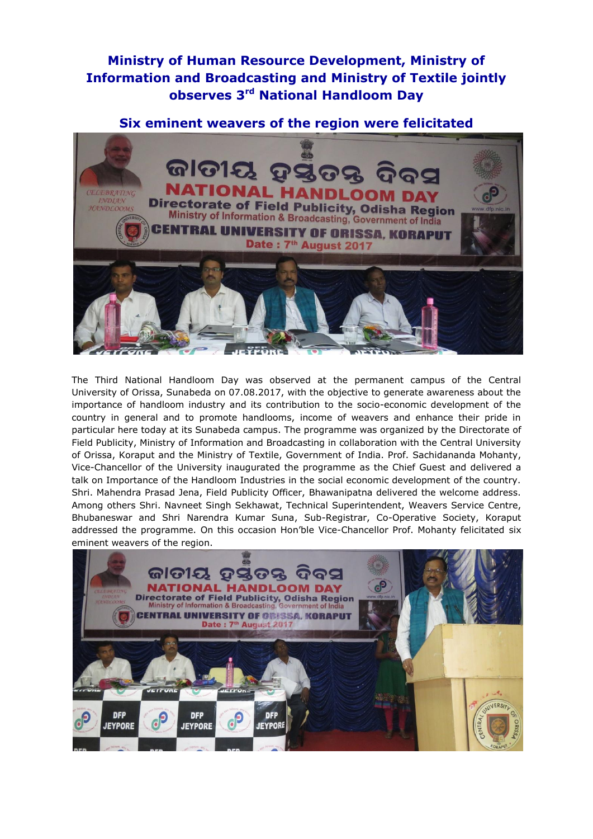## **Ministry of Human Resource Development, Ministry of Information and Broadcasting and Ministry of Textile jointly observes 3rd National Handloom Day**

## **Six eminent weavers of the region were felicitated**



The Third National Handloom Day was observed at the permanent campus of the Central University of Orissa, Sunabeda on 07.08.2017, with the objective to generate awareness about the importance of handloom industry and its contribution to the socio-economic development of the country in general and to promote handlooms, income of weavers and enhance their pride in particular here today at its Sunabeda campus. The programme was organized by the Directorate of Field Publicity, Ministry of Information and Broadcasting in collaboration with the Central University of Orissa, Koraput and the Ministry of Textile, Government of India. Prof. Sachidananda Mohanty, Vice-Chancellor of the University inaugurated the programme as the Chief Guest and delivered a talk on Importance of the Handloom Industries in the social economic development of the country. Shri. Mahendra Prasad Jena, Field Publicity Officer, Bhawanipatna delivered the welcome address. Among others Shri. Navneet Singh Sekhawat, Technical Superintendent, Weavers Service Centre, Bhubaneswar and Shri Narendra Kumar Suna, Sub-Registrar, Co-Operative Society, Koraput addressed the programme. On this occasion Hon'ble Vice-Chancellor Prof. Mohanty felicitated six eminent weavers of the region.